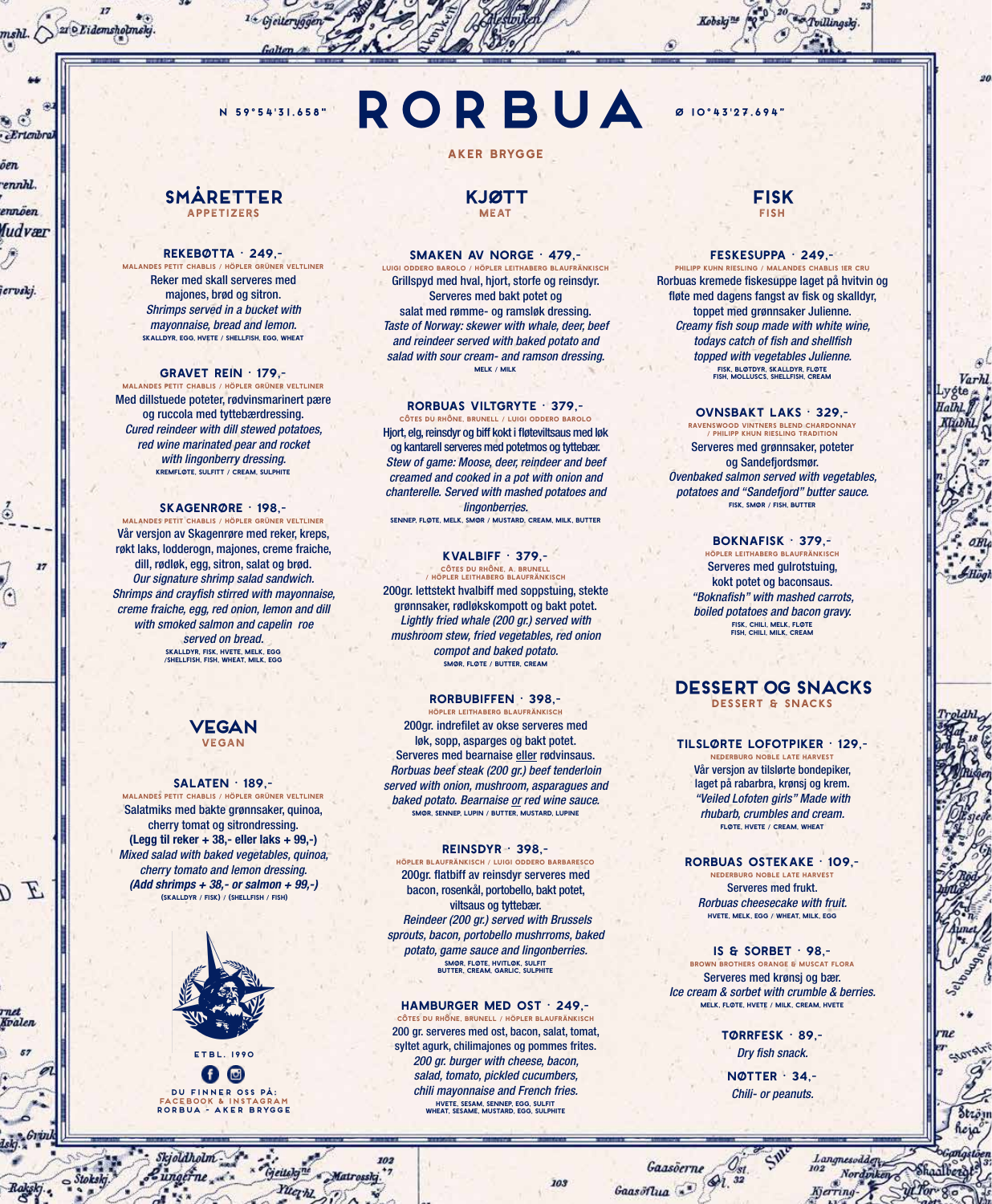**Ertenbra** öen ennhl.

mshl. SzroEidemshotmeky

ennöen fudvær

iervskj.

۵

F Ō.

rnet Kvalen

# **N 59°54'31.658" <b>D** 10°43'27.694"

**SMÅRETTER** appetizers

#### REKEBØTTA • 249,-

malandes petit chablis / höpler grüner veltliner Reker med skall serveres med majones, brød og sitron. *Shrimps served in a bucket with mayonnaise, bread and lemon.* skalldyr, egg, hvete / shellfish, egg, wheat

#### GRAVET REIN • 179,-

malandes petit chablis / höpler grüner veltliner Med dillstuede poteter, rødvinsmarinert pære og ruccola med tyttebærdressing. *Cured reindeer with dill stewed potatoes, red wine marinated pear and rocket with lingonberry dressing.* kremfløte, sulfitt / cream, sulphite

SKAGENRØRE • 198, malandes petit chablis / höpler grüner veltliner Vår versjon av Skagenrøre med reker, kreps, røkt laks, lodderogn, majones, creme fraiche, dill, rødløk, egg, sitron, salat og brød. *Our signature shrimp salad sandwich. Shrimps and crayfish stirred with mayonnaise, creme fraiche, egg, red onion, lemon and dill with smoked salmon and capelin roe served on bread.* skalldyr, fisk, hvete, melk, egg /shellfish, fish, wheat, milk, egg



#### SALATEN · 189,-

malandes petit chablis / höpler grüner veltliner Salatmiks med bakte grønnsaker, quinoa, cherry tomat og sitrondressing. (Legg til reker + 38,- eller laks + 99,-) *Mixed salad with baked vegetables, quinoa, cherry tomato and lemon dressing. (Add shrimps + 38,- or salmon + 99,-)* (skalldyr / fisk) / (shellfish / fish)



0 © **DU FINNER OSS PÅ: FACEBOOK & INSTAGRAM RORBUA - AKER BRYGGE**

ungerne ..... "Geitalgine Matrossky.

Yuqhl

Skjoldholm-

#### **KJØTT MEAT**

**RORBUA**

AKER BRYGGE

#### SMAKEN AV NORGE • 479,-

luigi oddero barolo / höpler leithaberg blaufränkisch Grillspyd med hval, hjort, storfe og reinsdyr. Serveres med bakt potet og salat med rømme- og ramsløk dressing. *Taste of Norway: skewer with whale, deer, beef and reindeer served with baked potato and salad with sour cream- and ramson dressing.* melk / milk

#### RORBUAS VILTGRYTE • 379,-

côtes du rhône, brunell / luigi oddero barolo Hjort, elg, reinsdyr og biff kokt i fløteviltsaus med løk og kantarell serveres med potetmos og tyttebær. *Stew of game: Moose, deer, reindeer and beef creamed and cooked in a pot with onion and chanterelle. Served with mashed potatoes and lingonberries.*

sennep, fløte, melk, smør / mustard, cream, milk, butter

## KVALBIFF • 379,-

côtes du rhône, a. brunell / höpler leithaberg blaufränkisch 200gr. lettstekt hvalbiff med soppstuing, stekte

grønnsaker, rødløkskompott og bakt potet. *Lightly fried whale (200 gr.) served with mushroom stew, fried vegetables, red onion compot and baked potato.* smør, fløte / butter, cream

#### RORBUBIFFEN • 398,-

höpler leithaberg blaufränkisch 200gr. indrefilet av okse serveres med løk, sopp, asparges og bakt potet. Serveres med bearnaise eller rødvinsaus. *Rorbuas beef steak (200 gr.) beef tenderloin served with onion, mushroom, asparagues and baked potato. Bearnaise or red wine sauce.* smør, sennep, lupin / butter, mustard, lupine

#### REINSDYR • 398,-

höpler blaufränkisch / luigi oddero barbaresco 200gr. flatbiff av reinsdyr serveres med bacon, rosenkål, portobello, bakt potet, viltsaus og tyttebær.  *Reindeer (200 gr.) served with Brussels sprouts, bacon, portobello mushrroms, baked potato, game sauce and lingonberries.*  smør, fløte, hvitløk, sulfit butter, cream, garlic, sulphite

#### HAMBURGER MED OST • 249,-

côtes du rhône, brunell / höpler blaufränkisch 200 gr. serveres med ost, bacon, salat, tomat, syltet agurk, chilimajones og pommes frites. *200 gr. burger with cheese, bacon, salad, tomato, pickled cucumbers, chili mayonnaise and French fries.* hvete, sesam, sennep, egg, sulfit wheat, sesame, mustard, egg, sulphite

#### **FISK FISH**

Tvillingskj.

#### FESKESUPPA • 249,-

philipp kuhn riesling / malandes chablis 1er cru Rorbuas kremede fiskesuppe laget på hvitvin og fløte med dagens fangst av fisk og skalldyr, toppet med grønnsaker Julienne. *Creamy fish soup made with white wine, todays catch of fish and shellfish topped with vegetables Julienne.* fisk, bløtdyr, skalldyr, fløte fish, molluscs, shellfish, cream

#### OVNSBAKT LAKS • 329,-

ravenswood vintners blend chardonnay / philipp khun riesling tradition Serveres med grønnsaker, poteter og Sandefjordsmør. *Ovenbaked salmon served with vegetables, potatoes and "Sandefjord" butter sauce.* fisk, smør / fish, butter

> BOKNAFISK • 379, höpler leithaberg blaufränkisch

Serveres med gulrotstuing, kokt potet og baconsaus. *"Boknafish" with mashed carrots, boiled potatoes and bacon gravy.* fisk, chili, melk, fløte fish, chili, milk, cream

#### **DESSERT OG SNACKS** dessert & snacks

#### TILSLØRTE LOFOTPIKER • 129,-

nederburg noble late harvest Vår versjon av tilslørte bondepiker, laget på rabarbra, krønsj og krem. *"Veiled Lofoten girls" Made with rhubarb, crumbles and cream.* fløte, hvete / cream, wheat

RORBUAS OSTEKAKE • 109, nederburg noble late harvest Serveres med frukt. *Rorbuas cheesecake with fruit.* hvete, melk, egg / wheat, milk, egg

IS & SORBET • 98, brown brothers orange & muscat flora Serveres med krønsj og bær. *Ice cream & sorbet with crumble & berries.* melk, fløte, hvete / milk, cream, hvete

> TØRRFESK • 89,- *Dry fish snack.*

NØTTER • 34,- *Chili- or peanuts.* 

Langnesodden

Kjerring-

Nordinken

703

Gaasöerne Gaasöflua . 91.